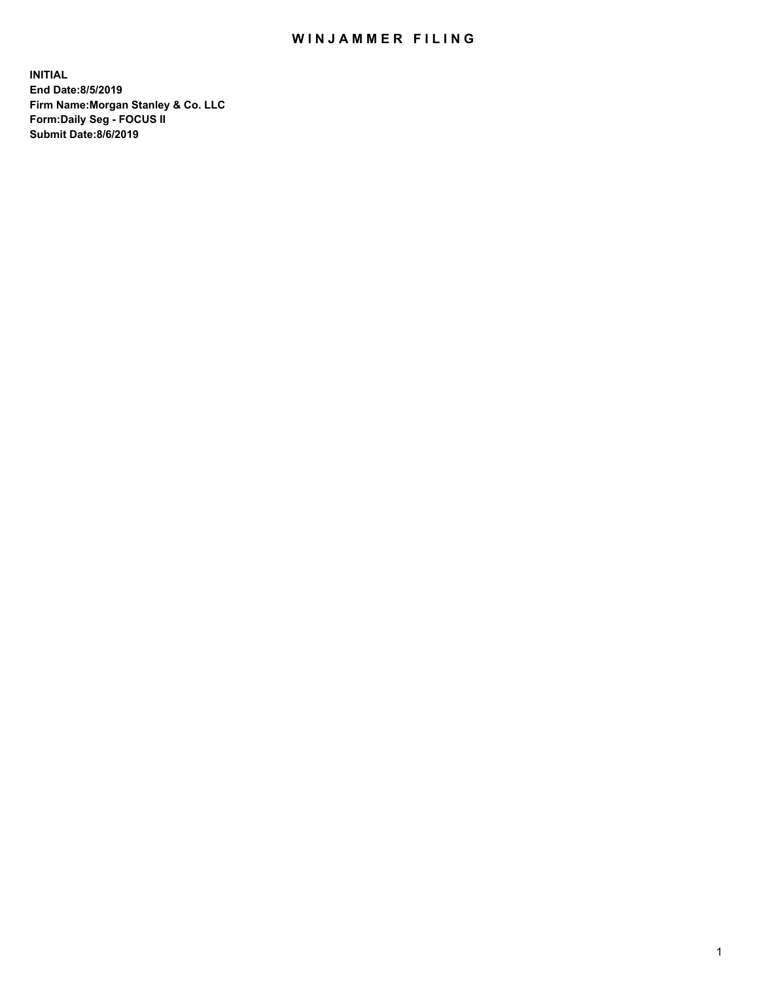## WIN JAMMER FILING

**INITIAL End Date:8/5/2019 Firm Name:Morgan Stanley & Co. LLC Form:Daily Seg - FOCUS II Submit Date:8/6/2019**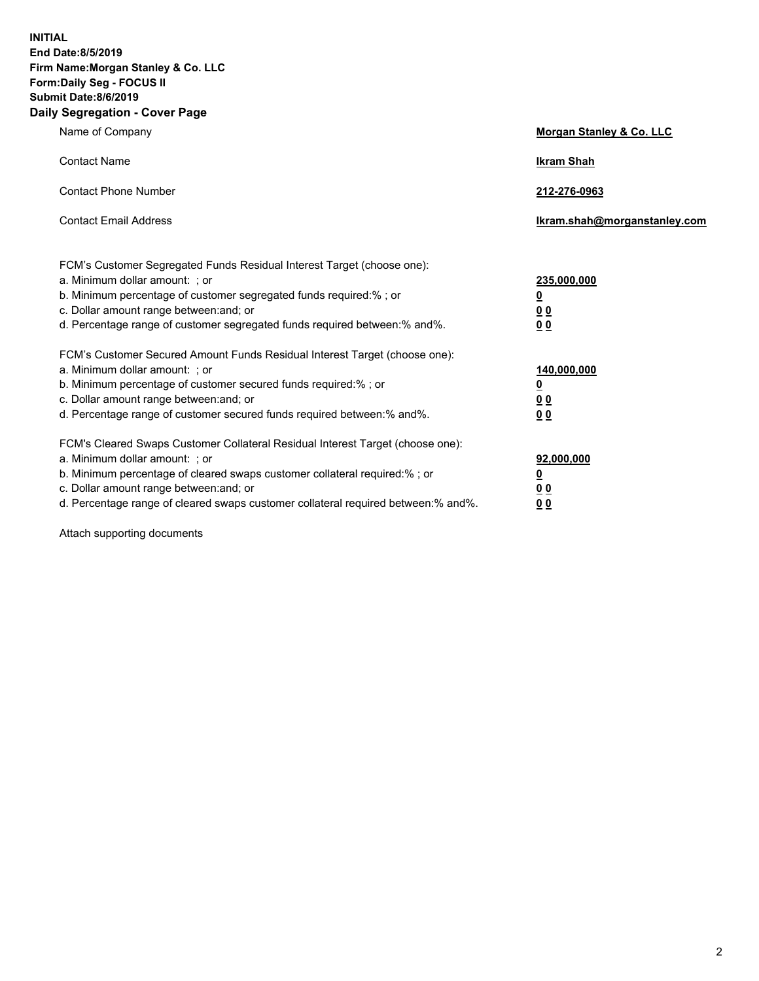**INITIAL End Date:8/5/2019 Firm Name:Morgan Stanley & Co. LLC Form:Daily Seg - FOCUS II Submit Date:8/6/2019 Daily Segregation - Cover Page**

| Name of Company                                                                                                                                                                                                                                                                                                                | Morgan Stanley & Co. LLC                                    |
|--------------------------------------------------------------------------------------------------------------------------------------------------------------------------------------------------------------------------------------------------------------------------------------------------------------------------------|-------------------------------------------------------------|
| <b>Contact Name</b>                                                                                                                                                                                                                                                                                                            | <b>Ikram Shah</b>                                           |
| <b>Contact Phone Number</b>                                                                                                                                                                                                                                                                                                    | 212-276-0963                                                |
| <b>Contact Email Address</b>                                                                                                                                                                                                                                                                                                   | Ikram.shah@morganstanley.com                                |
| FCM's Customer Segregated Funds Residual Interest Target (choose one):<br>a. Minimum dollar amount: ; or<br>b. Minimum percentage of customer segregated funds required:% ; or<br>c. Dollar amount range between: and; or<br>d. Percentage range of customer segregated funds required between:% and%.                         | 235,000,000<br><u>0</u><br>0 <sub>0</sub><br>00             |
| FCM's Customer Secured Amount Funds Residual Interest Target (choose one):<br>a. Minimum dollar amount: ; or<br>b. Minimum percentage of customer secured funds required:% ; or<br>c. Dollar amount range between: and; or<br>d. Percentage range of customer secured funds required between:% and%.                           | 140,000,000<br><u>0</u><br>0 <sub>0</sub><br>0 <sub>0</sub> |
| FCM's Cleared Swaps Customer Collateral Residual Interest Target (choose one):<br>a. Minimum dollar amount: ; or<br>b. Minimum percentage of cleared swaps customer collateral required:% ; or<br>c. Dollar amount range between: and; or<br>d. Percentage range of cleared swaps customer collateral required between:% and%. | 92,000,000<br><u>0</u><br>0 Q<br>0 <sub>0</sub>             |

Attach supporting documents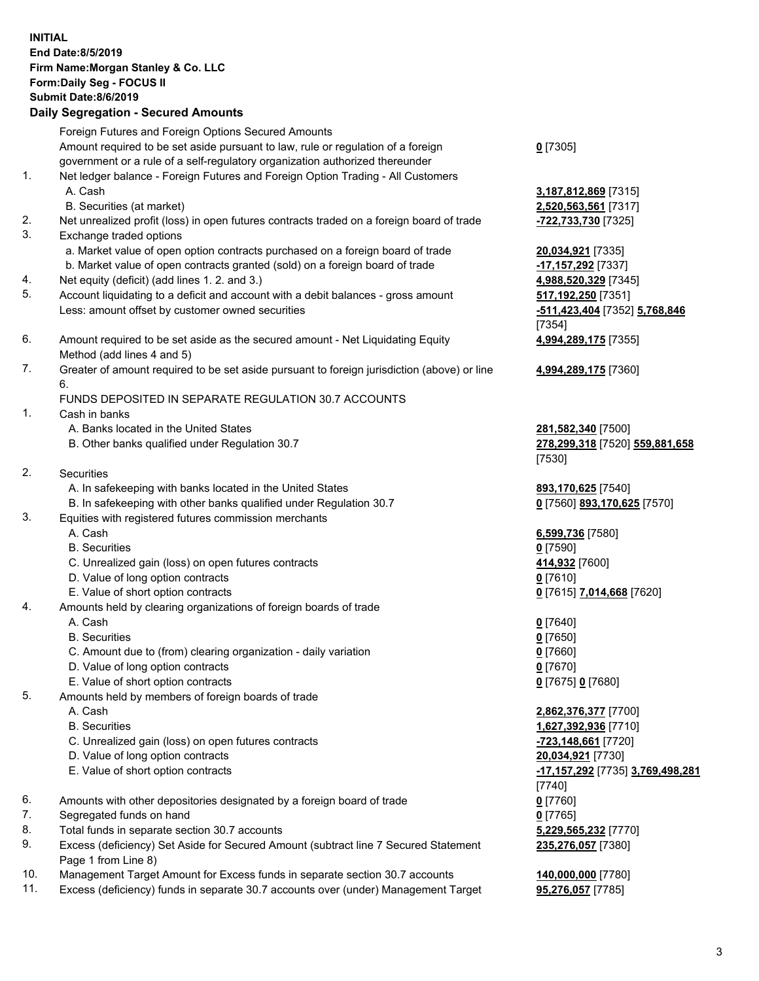|          | <b>INITIAL</b><br>End Date: 8/5/2019<br>Firm Name: Morgan Stanley & Co. LLC<br>Form: Daily Seg - FOCUS II<br><b>Submit Date: 8/6/2019</b><br><b>Daily Segregation - Secured Amounts</b> |                                                      |
|----------|-----------------------------------------------------------------------------------------------------------------------------------------------------------------------------------------|------------------------------------------------------|
|          | Foreign Futures and Foreign Options Secured Amounts                                                                                                                                     |                                                      |
|          | Amount required to be set aside pursuant to law, rule or regulation of a foreign<br>government or a rule of a self-regulatory organization authorized thereunder                        | $0$ [7305]                                           |
| 1.       | Net ledger balance - Foreign Futures and Foreign Option Trading - All Customers                                                                                                         |                                                      |
|          | A. Cash                                                                                                                                                                                 | 3,187,812,869 [7315]                                 |
|          | B. Securities (at market)                                                                                                                                                               | 2,520,563,561 [7317]                                 |
| 2.       | Net unrealized profit (loss) in open futures contracts traded on a foreign board of trade                                                                                               | -722,733,730 [7325]                                  |
| 3.       | Exchange traded options                                                                                                                                                                 |                                                      |
|          | a. Market value of open option contracts purchased on a foreign board of trade<br>b. Market value of open contracts granted (sold) on a foreign board of trade                          | 20,034,921 [7335]<br>-17,157,292 [7337]              |
| 4.       | Net equity (deficit) (add lines 1.2. and 3.)                                                                                                                                            | 4,988,520,329 [7345]                                 |
| 5.       | Account liquidating to a deficit and account with a debit balances - gross amount                                                                                                       | 517,192,250 [7351]                                   |
|          | Less: amount offset by customer owned securities                                                                                                                                        | -511,423,404 [7352] 5,768,846                        |
|          |                                                                                                                                                                                         | [7354]                                               |
| 6.       | Amount required to be set aside as the secured amount - Net Liquidating Equity<br>Method (add lines 4 and 5)                                                                            | 4,994,289,175 [7355]                                 |
| 7.       | Greater of amount required to be set aside pursuant to foreign jurisdiction (above) or line                                                                                             | 4,994,289,175 [7360]                                 |
|          | 6.                                                                                                                                                                                      |                                                      |
|          | FUNDS DEPOSITED IN SEPARATE REGULATION 30.7 ACCOUNTS                                                                                                                                    |                                                      |
| 1.       | Cash in banks                                                                                                                                                                           |                                                      |
|          | A. Banks located in the United States<br>B. Other banks qualified under Regulation 30.7                                                                                                 | 281,582,340 [7500]<br>278,299,318 [7520] 559,881,658 |
|          |                                                                                                                                                                                         | [7530]                                               |
| 2.       | Securities                                                                                                                                                                              |                                                      |
|          | A. In safekeeping with banks located in the United States                                                                                                                               | 893,170,625 [7540]                                   |
|          | B. In safekeeping with other banks qualified under Regulation 30.7                                                                                                                      | 0 [7560] 893,170,625 [7570]                          |
| 3.       | Equities with registered futures commission merchants<br>A. Cash                                                                                                                        | 6,599,736 [7580]                                     |
|          | <b>B.</b> Securities                                                                                                                                                                    | $0$ [7590]                                           |
|          | C. Unrealized gain (loss) on open futures contracts                                                                                                                                     | 414,932 [7600]                                       |
|          | D. Value of long option contracts                                                                                                                                                       | $0$ [7610]                                           |
|          | E. Value of short option contracts                                                                                                                                                      | <u>0</u> [7615] 7,014,668 [7620]                     |
| 4.       | Amounts held by clearing organizations of foreign boards of trade<br>A. Cash                                                                                                            |                                                      |
|          | <b>B.</b> Securities                                                                                                                                                                    | $0$ [7640]<br>$0$ [7650]                             |
|          | C. Amount due to (from) clearing organization - daily variation                                                                                                                         | $0$ [7660]                                           |
|          | D. Value of long option contracts                                                                                                                                                       | $0$ [7670]                                           |
|          | E. Value of short option contracts                                                                                                                                                      | 0 [7675] 0 [7680]                                    |
| 5.       | Amounts held by members of foreign boards of trade                                                                                                                                      |                                                      |
|          | A. Cash<br><b>B.</b> Securities                                                                                                                                                         | 2,862,376,377 [7700]<br>1,627,392,936 [7710]         |
|          | C. Unrealized gain (loss) on open futures contracts                                                                                                                                     | -723,148,661 [7720]                                  |
|          | D. Value of long option contracts                                                                                                                                                       | 20,034,921 [7730]                                    |
|          | E. Value of short option contracts                                                                                                                                                      | -17,157,292 [7735] 3,769,498,281                     |
|          |                                                                                                                                                                                         | $[7740]$                                             |
| 6.<br>7. | Amounts with other depositories designated by a foreign board of trade<br>Segregated funds on hand                                                                                      | $0$ [7760]<br>$0$ [7765]                             |
| 8.       | Total funds in separate section 30.7 accounts                                                                                                                                           | 5,229,565,232 [7770]                                 |
| 9.       | Excess (deficiency) Set Aside for Secured Amount (subtract line 7 Secured Statement                                                                                                     | 235,276,057 [7380]                                   |
|          | Page 1 from Line 8)                                                                                                                                                                     |                                                      |
| 1 N      | cogarment Terret Amount for Excess funds in concrete costien 20.7 secounts                                                                                                              | 440.000.000.177001                                   |

- 10. Management Target Amount for Excess funds in separate section 30.7 accounts **140,000,000** [7780]
- 11. Excess (deficiency) funds in separate 30.7 accounts over (under) Management Target **95,276,057** [7785]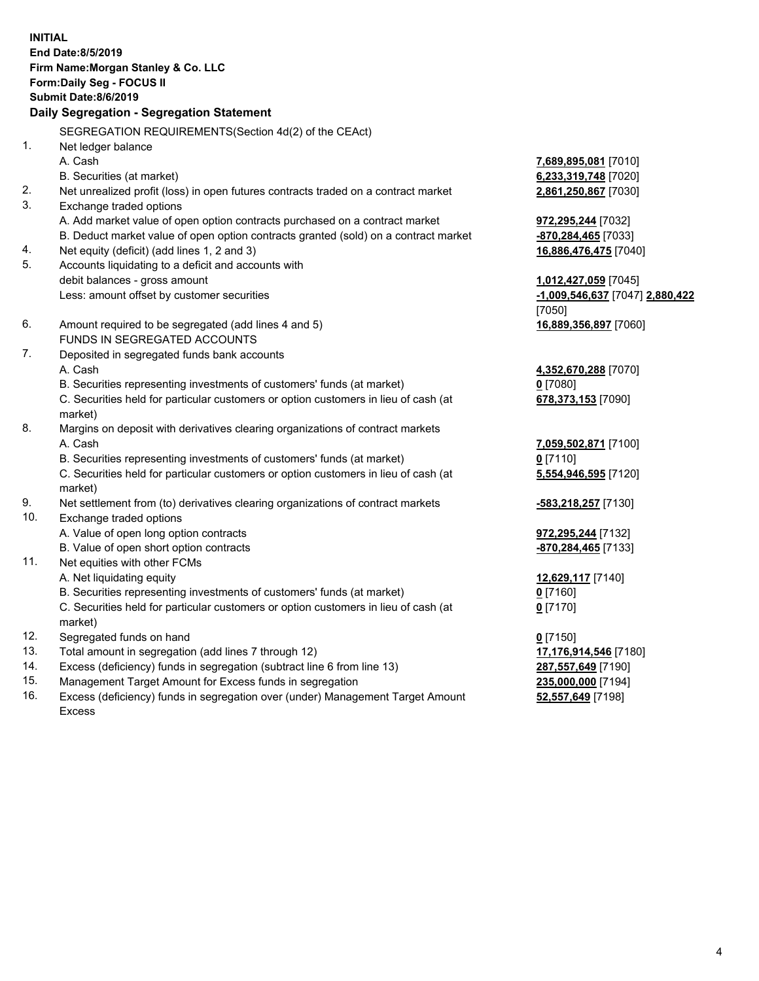**INITIAL End Date:8/5/2019 Firm Name:Morgan Stanley & Co. LLC Form:Daily Seg - FOCUS II Submit Date:8/6/2019 Daily Segregation - Segregation Statement** SEGREGATION REQUIREMENTS(Section 4d(2) of the CEAct) 1. Net ledger balance A. Cash **7,689,895,081** [7010] B. Securities (at market) **6,233,319,748** [7020] 2. Net unrealized profit (loss) in open futures contracts traded on a contract market **2,861,250,867** [7030] 3. Exchange traded options A. Add market value of open option contracts purchased on a contract market **972,295,244** [7032] B. Deduct market value of open option contracts granted (sold) on a contract market **-870,284,465** [7033] 4. Net equity (deficit) (add lines 1, 2 and 3) **16,886,476,475** [7040] 5. Accounts liquidating to a deficit and accounts with debit balances - gross amount **1,012,427,059** [7045] Less: amount offset by customer securities **-1,009,546,637** [7047] **2,880,422** [7050] 6. Amount required to be segregated (add lines 4 and 5) **16,889,356,897** [7060] FUNDS IN SEGREGATED ACCOUNTS 7. Deposited in segregated funds bank accounts A. Cash **4,352,670,288** [7070] B. Securities representing investments of customers' funds (at market) **0** [7080] C. Securities held for particular customers or option customers in lieu of cash (at market) **678,373,153** [7090] 8. Margins on deposit with derivatives clearing organizations of contract markets A. Cash **7,059,502,871** [7100] B. Securities representing investments of customers' funds (at market) **0** [7110] C. Securities held for particular customers or option customers in lieu of cash (at market) **5,554,946,595** [7120] 9. Net settlement from (to) derivatives clearing organizations of contract markets **-583,218,257** [7130] 10. Exchange traded options A. Value of open long option contracts **972,295,244** [7132] B. Value of open short option contracts **and the set of our of the set of our of the set of the set of the set of the set of the set of the set of the set of the set of the set of the set of the set of the set of the set o** 11. Net equities with other FCMs A. Net liquidating equity **12,629,117** [7140] B. Securities representing investments of customers' funds (at market) **0** [7160] C. Securities held for particular customers or option customers in lieu of cash (at market) **0** [7170] 12. Segregated funds on hand **0** [7150] 13. Total amount in segregation (add lines 7 through 12) **17,176,914,546** [7180] 14. Excess (deficiency) funds in segregation (subtract line 6 from line 13) **287,557,649** [7190] 15. Management Target Amount for Excess funds in segregation **235,000,000** [7194]

16. Excess (deficiency) funds in segregation over (under) Management Target Amount Excess

**52,557,649** [7198]